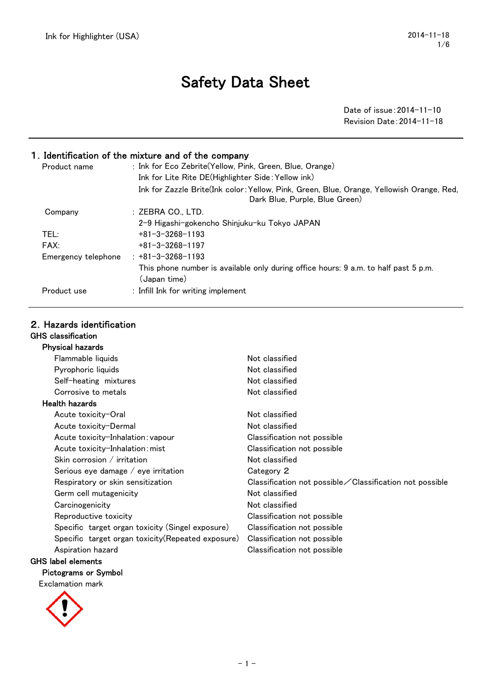# Safety Data Sheet

Date of issue:2014-11-10 Revision Date:2014-11-18

## 1.Identification of the mixture and of the company

| Product name        | : Ink for Eco Zebrite(Yellow, Pink, Green, Blue, Orange)<br>Ink for Lite Rite DE(Highlighter Side: Yellow ink)              |
|---------------------|-----------------------------------------------------------------------------------------------------------------------------|
|                     | Ink for Zazzle Brite(Ink color: Yellow, Pink, Green, Blue, Orange, Yellowish Orange, Red,<br>Dark Blue, Purple, Blue Green) |
| Company             | :ZEBRA CO LTD.                                                                                                              |
|                     | 2-9 Higashi-gokencho Shiniuku-ku Tokvo JAPAN                                                                                |
| TEL:                | $+81 - 3 - 3268 - 1193$                                                                                                     |
| FAX:                | $+81 - 3 - 3268 - 1197$                                                                                                     |
| Emergency telephone | $+81 - 3 - 3268 - 1193$                                                                                                     |
|                     | This phone number is available only during office hours: 9 a.m. to half past 5 p.m.<br>(Japan time)                         |
| Product use         | : Infill Ink for writing implement                                                                                          |

## 2.Hazards identification

#### GHS classification Physical hazards

| Priysical nazards                                  |                                                                  |
|----------------------------------------------------|------------------------------------------------------------------|
| Flammable liquids                                  | Not classified                                                   |
| Pyrophoric liquids                                 | Not classified                                                   |
| Self-heating mixtures                              | Not classified                                                   |
| Corrosive to metals                                | Not classified                                                   |
| <b>Health hazards</b>                              |                                                                  |
| Acute toxicity-Oral                                | Not classified                                                   |
| Acute toxicity-Dermal                              | Not classified                                                   |
| Acute toxicity-Inhalation: vapour                  | Classification not possible                                      |
| Acute toxicity-Inhalation: mist                    | Classification not possible                                      |
| Skin corrosion $/$ irritation                      | Not classified                                                   |
| Serious eye damage $/$ eye irritation              | Category 2                                                       |
| Respiratory or skin sensitization                  | Classification not possible $\angle$ Classification not possible |
| Germ cell mutagenicity                             | Not classified                                                   |
| Carcinogenicity                                    | Not classified                                                   |
| Reproductive toxicity                              | Classification not possible                                      |
| Specific target organ toxicity (Singel exposure)   | Classification not possible                                      |
| Specific target organ toxicity (Repeated exposure) | Classification not possible                                      |
| Aspiration hazard                                  | Classification not possible                                      |
| GHS label elements                                 |                                                                  |

### Pictograms or Symbol

Exclamation mark

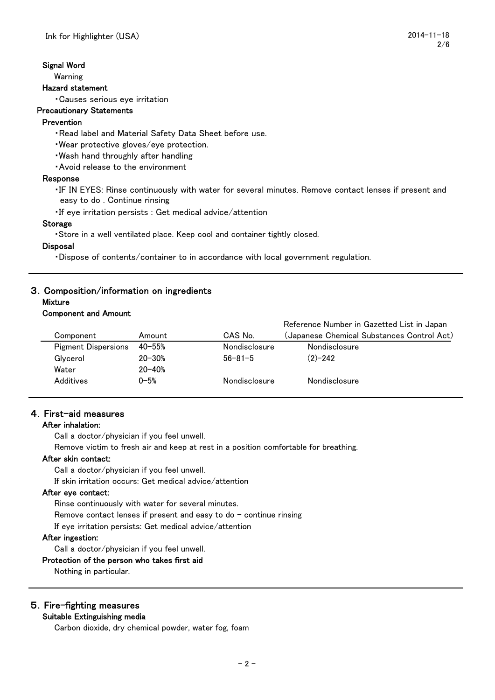#### Signal Word

Warning

#### Hazard statement

・Causes serious eye irritation

#### Precautionary Statements

## Prevention

- ・Read label and Material Safety Data Sheet before use.
- ・Wear protective gloves/eye protection.
- ・Wash hand throughly after handling
- ・Avoid release to the environment

#### Response

- ・IF IN EYES: Rinse continuously with water for several minutes. Remove contact lenses if present and easy to do . Continue rinsing
- ・If eye irritation persists : Get medical advice/attention

#### Storage

・Store in a well ventilated place. Keep cool and container tightly closed.

#### **Disposal**

・Dispose of contents/container to in accordance with local government regulation.

## 3.Composition/information on ingredients

#### **Mixture** Component and Amount

|                            |            |                      | Reference Number in Gazetted List in Japan |
|----------------------------|------------|----------------------|--------------------------------------------|
| Component                  | Amount     | CAS No.              | (Japanese Chemical Substances Control Act) |
| <b>Pigment Dispersions</b> | $40 - 55%$ | <b>Nondisclosure</b> | <b>Nondisclosure</b>                       |
| Glvcerol                   | $20 - 30%$ | $56 - 81 - 5$        | $(2)-242$                                  |
| Water                      | $20 - 40%$ |                      |                                            |
| Additives                  | $0 - 5%$   | <b>Nondisclosure</b> | Nondisclosure                              |

## 4.First-aid measures

## After inhalation:

Call a doctor/physician if you feel unwell.

Remove victim to fresh air and keep at rest in a position comfortable for breathing.

## After skin contact:

Call a doctor/physician if you feel unwell.

If skin irritation occurs: Get medical advice/attention

#### After eye contact:

Rinse continuously with water for several minutes. Remove contact lenses if present and easy to do  $-$  continue rinsing If eye irritation persists: Get medical advice/attention

#### After ingestion:

Call a doctor/physician if you feel unwell.

#### Protection of the person who takes first aid

Nothing in particular.

## 5.Fire-fighting measures

#### Suitable Extinguishing media

Carbon dioxide, dry chemical powder, water fog, foam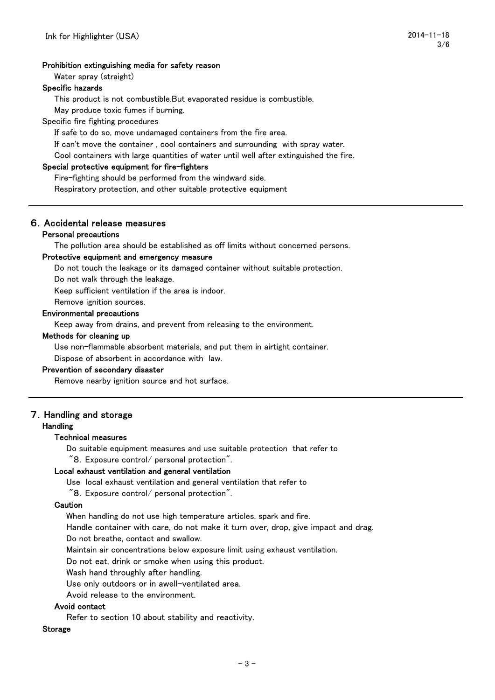#### Prohibition extinguishing media for safety reason

Water spray (straight)

#### Specific hazards

This product is not combustible.But evaporated residue is combustible.

May produce toxic fumes if burning.

Specific fire fighting procedures

If safe to do so, move undamaged containers from the fire area.

If can't move the container , cool containers and surrounding with spray water.

Cool containers with large quantities of water until well after extinguished the fire.

#### Special protective equipment for fire-fighters

Fire-fighting should be performed from the windward side.

Respiratory protection, and other suitable protective equipment

#### 6.Accidental release measures

#### Personal precautions

The pollution area should be established as off limits without concerned persons.

#### Protective equipment and emergency measure

Do not touch the leakage or its damaged container without suitable protection.

Do not walk through the leakage.

Keep sufficient ventilation if the area is indoor.

Remove ignition sources.

#### Environmental precautions

Keep away from drains, and prevent from releasing to the environment.

#### Methods for cleaning up

Use non-flammable absorbent materials, and put them in airtight container.

Dispose of absorbent in accordance with law.

#### Prevention of secondary disaster

Remove nearby ignition source and hot surface.

#### 7.Handling and storage

#### Handling

#### Technical measures

Do suitable equipment measures and use suitable protection that refer to

"8.Exposure control/ personal protection".

#### Local exhaust ventilation and general ventilation

Use local exhaust ventilation and general ventilation that refer to

"8.Exposure control/ personal protection".

#### **Caution**

When handling do not use high temperature articles, spark and fire.

Handle container with care, do not make it turn over, drop, give impact and drag.

Do not breathe, contact and swallow.

Maintain air concentrations below exposure limit using exhaust ventilation.

Do not eat, drink or smoke when using this product.

Wash hand throughly after handling.

Use only outdoors or in awell-ventilated area.

Avoid release to the environment.

#### Avoid contact

Refer to section 10 about stability and reactivity.

#### Storage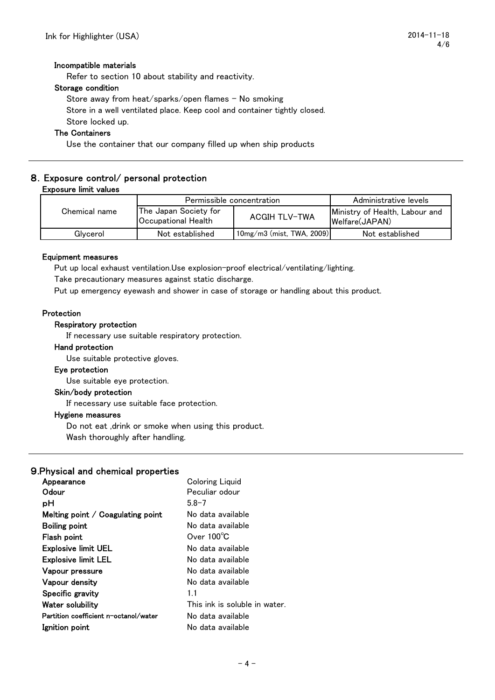#### Incompatible materials

Refer to section 10 about stability and reactivity.

#### Storage condition

Store away from heat/sparks/open flames – No smoking Store in a well ventilated place. Keep cool and container tightly closed. Store locked up.

#### The Containers

Use the container that our company filled up when ship products

#### 8.Exposure control/ personal protection Exposure limit values

|               | Permissible concentration                    |                                 | Administrative levels                            |
|---------------|----------------------------------------------|---------------------------------|--------------------------------------------------|
| Chemical name | The Japan Society for<br>Occupational Health | <b>ACGIH TLV-TWA</b>            | Ministry of Health, Labour and<br>Welfare(JAPAN) |
| Glvcerol      | Not established                              | $10$ mg/m $3$ (mist, TWA, 2009) | Not established                                  |

#### Equipment measures

Put up local exhaust ventilation.Use explosion-proof electrical/ventilating/lighting.

Take precautionary measures against static discharge.

Put up emergency eyewash and shower in case of storage or handling about this product.

#### Protection

#### Respiratory protection

If necessary use suitable respiratory protection.

#### Hand protection

Use suitable protective gloves.

#### Eye protection

Use suitable eye protection.

#### Skin/body protection

If necessary use suitable face protection.

#### Hygiene measures

Do not eat ,drink or smoke when using this product.

Wash thoroughly after handling.

#### 9.Physical and chemical properties

| Appearance                               | <b>Coloring Liquid</b>        |
|------------------------------------------|-------------------------------|
| Odour                                    | Peculiar odour                |
| рH                                       | $5.8 - 7$                     |
| Melting point $\angle$ Coagulating point | No data available             |
| Boiling point                            | No data available             |
| Flash point                              | Over $100^{\circ}$ C          |
| <b>Explosive limit UEL</b>               | No data available             |
| <b>Explosive limit LEL</b>               | No data available             |
| Vapour pressure                          | No data available             |
| Vapour density                           | No data available             |
| Specific gravity                         | 11                            |
| Water solubility                         | This ink is soluble in water. |
| Partition coefficient n-octanol/water    | No data available             |
| Ignition point                           | No data available             |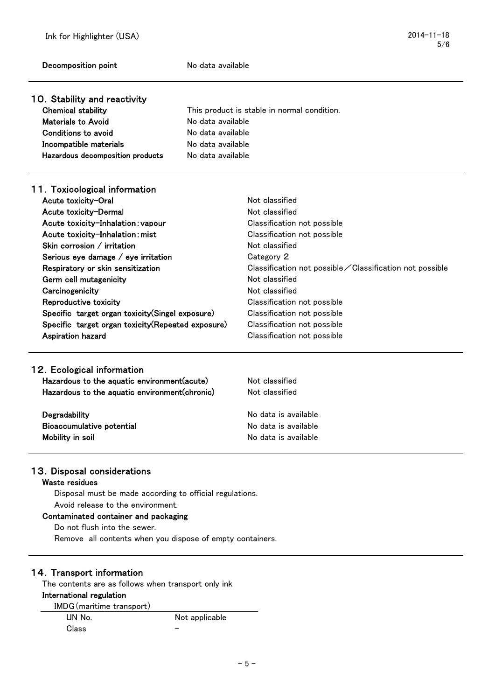| <b>Decomposition point</b>                            | No data available |                                                         |
|-------------------------------------------------------|-------------------|---------------------------------------------------------|
| 10. Stability and reactivity                          |                   |                                                         |
| <b>Chemical stability</b>                             |                   | This product is stable in normal condition.             |
| <b>Materials to Avoid</b>                             | No data available |                                                         |
| <b>Conditions to avoid</b>                            | No data available |                                                         |
| Incompatible materials                                | No data available |                                                         |
| Hazardous decomposition products<br>No data available |                   |                                                         |
| 11. Toxicological information                         |                   |                                                         |
| Acute toxicity-Oral                                   |                   | Not classified                                          |
| Acute toxicity-Dermal                                 |                   | Not classified                                          |
| Acute toxicity-Inhalation: vapour                     |                   | Classification not possible                             |
| Acute toxicity-Inhalation: mist                       |                   | Classification not possible                             |
| Skin corrosion / irritation                           |                   | Not classified                                          |
| Serious eye damage / eye irritation                   |                   | Category 2                                              |
| Respiratory or skin sensitization                     |                   | Classification not possible∕Classification not possible |
| Germ cell mutagenicity                                |                   | Not classified                                          |
| Carcinogenicity                                       |                   | Not classified                                          |
| Reproductive toxicity                                 |                   | Classification not possible                             |
| Specific target organ toxicity (Singel exposure)      |                   | Classification not possible                             |
| Specific target organ toxicity (Repeated exposure)    |                   | Classification not possible                             |
| <b>Aspiration hazard</b>                              |                   | Classification not possible                             |
|                                                       |                   |                                                         |
| 12. Ecological information                            |                   |                                                         |
| Hazardous to the aquatic environment (acute)          |                   | Not classified                                          |
| Hazardous to the aquatic environment (chronic)        |                   | Not classified                                          |
| Degradability                                         |                   | No data is available                                    |
| <b>Bioaccumulative potential</b>                      |                   | No data is available                                    |

5/6

## 13. Disposal considerations

## Waste residues

Disposal must be made according to official regulations. Avoid release to the environment.

#### Contaminated container and packaging

Do not flush into the sewer.

Remove all contents when you dispose of empty containers.

Mobility in soil and the Mobility in soil and the Mobility in soil and the Mobility in soil and the Mobility in Soil and Mobility in Soil and Mobility in Soil and Mobility in Soil and Mobility in Soil and Mobility in Soil

## 14.Transport information

The contents are as follows when transport only ink

## International regulation

| IMDG (maritime transport) |                |
|---------------------------|----------------|
| UN No.                    | Not applicable |
| Class                     |                |